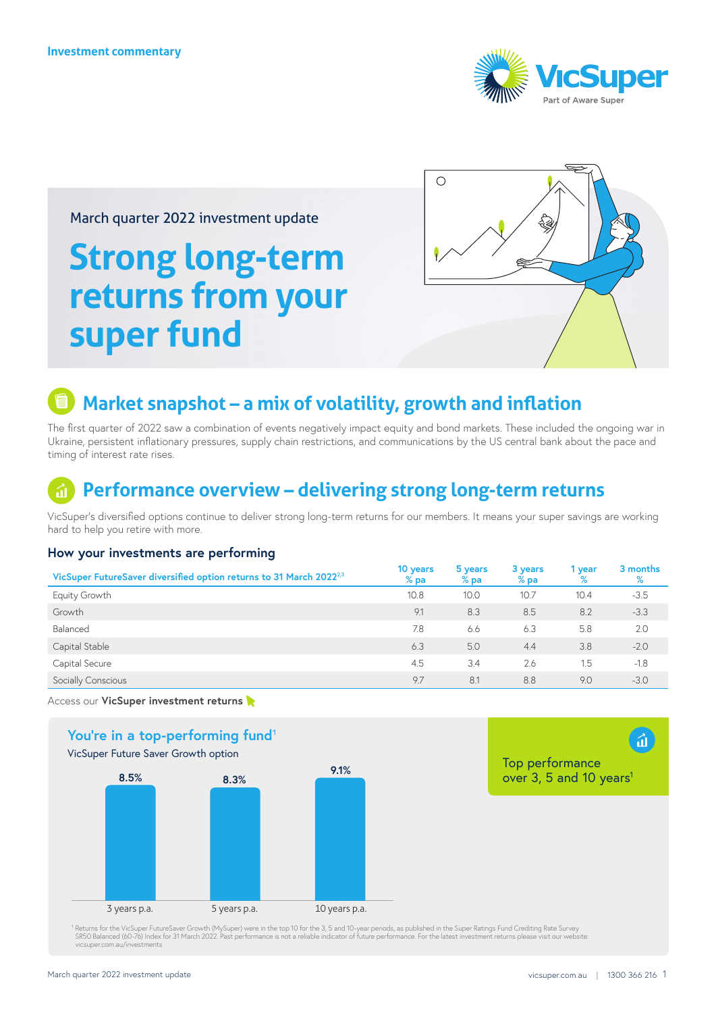

### March quarter 2022 investment update

# **Strong long-term returns from your super fund**



### **Market snapshot – a mix of volatility, growth and inflation**

The first quarter of 2022 saw a combination of events negatively impact equity and bond markets. These included the ongoing war in Ukraine, persistent inflationary pressures, supply chain restrictions, and communications by the US central bank about the pace and timing of interest rate rises.

### **Performance overview – delivering strong long-term returns**

VicSuper's diversified options continue to deliver strong long-term returns for our members. It means your super savings are working hard to help you retire with more.

#### **How your investments are performing**

| VicSuper FutureSaver diversified option returns to 31 March 2022 <sup>2,3</sup> | 10 years<br>$%$ pa | 5 years<br>$%$ pa | 3 years<br>$%$ pa | 1 year<br>% | 3 months<br>℅ |
|---------------------------------------------------------------------------------|--------------------|-------------------|-------------------|-------------|---------------|
| Equity Growth                                                                   | 10.8               | 10.0              | 10.7              | 10.4        | $-3.5$        |
| Growth                                                                          | 9.1                | 8.3               | 8.5               | 8.2         | $-3.3$        |
| Balanced                                                                        | 7.8                | 6.6               | 6.3               | 5.8         | 2.0           |
| Capital Stable                                                                  | 6.3                | 5.0               | 4.4               | 3.8         | $-2.0$        |
| Capital Secure                                                                  | 4.5                | 3.4               | 2.6               | 1.5         | $-1.8$        |
| Socially Conscious                                                              | 9.7                | 8.1               | 8.8               | 9.0         | $-3.0$        |

Access our **VicSuper investment return[s](https://www.vicsuper.com.au/investments/investment-performance)** 



<sup>1</sup> Returns for the VicSuper FutureSaver Growth (MySuper) were in the top 10 for the 3, 5 and 10-year periods, as published in the Super Ratings Fund Crediting Rate Survey<br>SR50 Balanced (60-76) Index for 31 March 2022. Pas [vicsuper.com.au/investments](http://vicsuper.com.au/investments)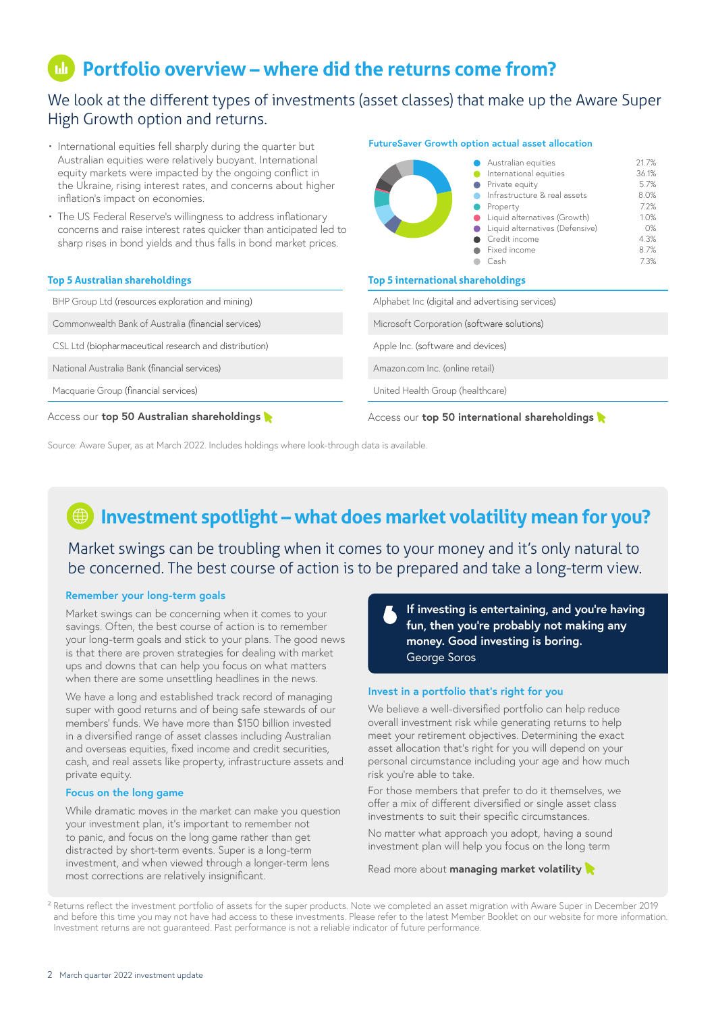# **Portfolio overview – where did the returns come from?**

### We look at the different types of investments (asset classes) that make up the Aware Super High Growth option and returns.

- International equities fell sharply during the quarter but Australian equities were relatively buoyant. International equity markets were impacted by the ongoing conflict in the Ukraine, rising interest rates, and concerns about higher inflation's impact on economies.
- The US Federal Reserve's willingness to address inflationary concerns and raise interest rates quicker than anticipated led to sharp rises in bond yields and thus falls in bond market prices.

#### **Top 5 Australian shareholdings**

BHP Group Ltd (resources exploration and mining) Commonwealth Bank of Australia (financial services) CSL Ltd (biopharmaceutical research and distribution) National Australia Bank (financial services)

Macquarie Group (financial services)

Access our **[top 50 Australian shareholdings](https://aware.com.au/member/investments-and-performance/how-we-manage-your-investment/how-we-invest/australian)**

#### **FutureSaver Growth option actual asset allocation**



#### **Top 5 international shareholdings**

Alphabet Inc (digital and advertising services)

Microsoft Corporation (software solutions)

Apple Inc. (software and devices)

[Amazon.com](http://Amazon.com) Inc. (online retail)

United Health Group (healthcare)

Access our **[top 50 international shareholdings](https://aware.com.au/member/investments-and-performance/how-we-manage-your-investment/how-we-invest/international)**

Source: Aware Super, as at March 2022. Includes holdings where look-through data is available.

# **Investment spotlight – what does market volatility mean for you?**

Market swings can be troubling when it comes to your money and it's only natural to be concerned. The best course of action is to be prepared and take a long-term view.

#### **Remember your long-term goals**

Market swings can be concerning when it comes to your savings. Often, the best course of action is to remember your long-term goals and stick to your plans. The good news is that there are proven strategies for dealing with market ups and downs that can help you focus on what matters when there are some unsettling headlines in the news.

We have a long and established track record of managing super with good returns and of being safe stewards of our members' funds. We have more than \$150 billion invested in a diversified range of asset classes including Australian and overseas equities, fixed income and credit securities, cash, and real assets like property, infrastructure assets and private equity.

#### **Focus on the long game**

While dramatic moves in the market can make you question your investment plan, it's important to remember not to panic, and focus on the long game rather than get distracted by short-term events. Super is a long-term investment, and when viewed through a longer-term lens most corrections are relatively insignificant.

**If investing is entertaining, and you're having fun, then you're probably not making any money. Good investing is boring.** George Soros

#### **Invest in a portfolio that's right for you**

We believe a well-diversified portfolio can help reduce overall investment risk while generating returns to help meet your retirement objectives. Determining the exact asset allocation that's right for you will depend on your personal circumstance including your age and how much risk you're able to take.

For those members that prefer to do it themselves, we offer a mix of different diversified or single asset class investments to suit their specific circumstances.

No matter what approach you adopt, having a sound investment plan will help you focus on the long term

[Read more about](https://aware.com.au/member/investments-and-performance/how-we-manage-your-investment/investment-approach) **managing market volatility**

<sup>2</sup> Returns reflect the investment portfolio of assets for the super products. Note we completed an asset migration with Aware Super in December 2019 and before this time you may not have had access to these investments. Please refer to the latest Member Booklet on our website for more information. Investment returns are not guaranteed. Past performance is not a reliable indicator of future performance.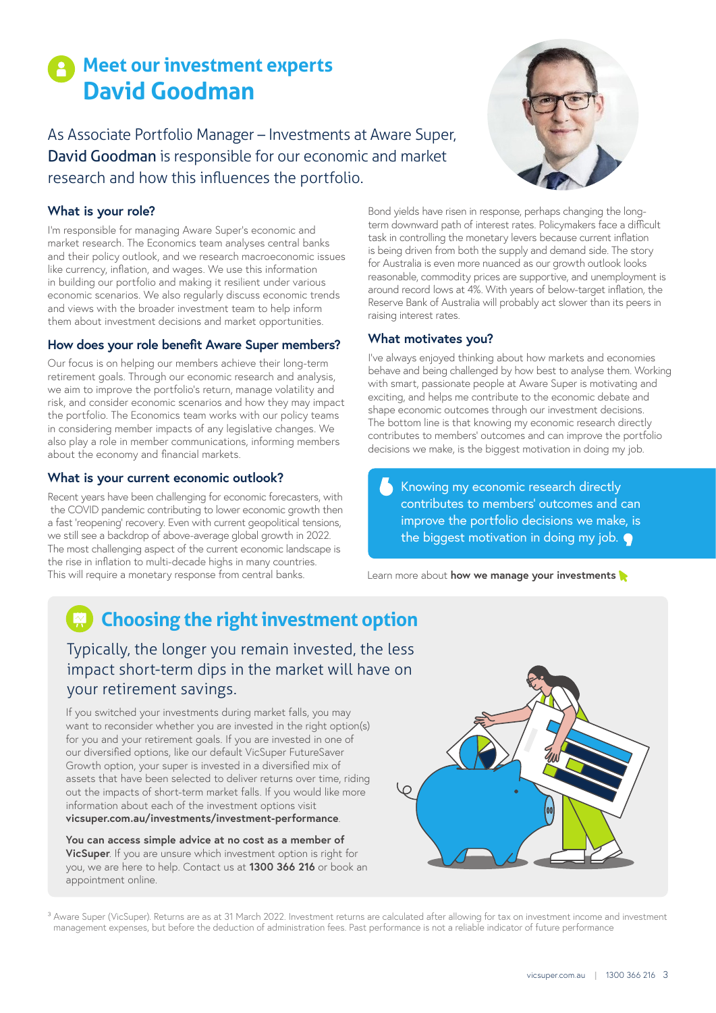# **Meet our investment experts David Goodman**

As Associate Portfolio Manager – Investments at Aware Super, David Goodman is responsible for our economic and market research and how this influences the portfolio.

### **What is your role?**

I'm responsible for managing Aware Super's economic and market research. The Economics team analyses central banks and their policy outlook, and we research macroeconomic issues like currency, inflation, and wages. We use this information in building our portfolio and making it resilient under various economic scenarios. We also regularly discuss economic trends and views with the broader investment team to help inform them about investment decisions and market opportunities.

#### **How does your role benefit Aware Super members?**

Our focus is on helping our members achieve their long-term retirement goals. Through our economic research and analysis, we aim to improve the portfolio's return, manage volatility and risk, and consider economic scenarios and how they may impact the portfolio. The Economics team works with our policy teams in considering member impacts of any legislative changes. We also play a role in member communications, informing members about the economy and financial markets.

#### **What is your current economic outlook?**

Recent years have been challenging for economic forecasters, with the COVID pandemic contributing to lower economic growth then a fast 'reopening' recovery. Even with current geopolitical tensions, we still see a backdrop of above-average global growth in 2022. The most challenging aspect of the current economic landscape is the rise in inflation to multi-decade highs in many countries. This will require a monetary response from central banks. Learn more about **[how we manage your investments](https://aware.com.au/member/investments-and-performance/how-we-manage-your-investment/how-we-invest/australian)** 

Bond yields have risen in response, perhaps changing the longterm downward path of interest rates. Policymakers face a difficult task in controlling the monetary levers because current inflation is being driven from both the supply and demand side. The story for Australia is even more nuanced as our growth outlook looks reasonable, commodity prices are supportive, and unemployment is around record lows at 4%. With years of below-target inflation, the Reserve Bank of Australia will probably act slower than its peers in raising interest rates.

#### **What motivates you?**

I've always enjoyed thinking about how markets and economies behave and being challenged by how best to analyse them. Working with smart, passionate people at Aware Super is motivating and exciting, and helps me contribute to the economic debate and shape economic outcomes through our investment decisions. The bottom line is that knowing my economic research directly contributes to members' outcomes and can improve the portfolio decisions we make, is the biggest motivation in doing my job.

Knowing my economic research directly contributes to members' outcomes and can improve the portfolio decisions we make, is the biggest motivation in doing my job.

# **Choosing the right investment option**

### Typically, the longer you remain invested, the less impact short-term dips in the market will have on your retirement savings.

If you switched your investments during market falls, you may want to reconsider whether you are invested in the right option(s) for you and your retirement goals. If you are invested in one of our diversified options, like our default VicSuper FutureSaver Growth option, your super is invested in a diversified mix of assets that have been selected to deliver returns over time, riding out the impacts of short-term market falls. If you would like more information about each of the investment options visit **[vicsuper.com.au/investments/investment-performance](https://www.vicsuper.com.au/investments/investment-performance)**.

**You can access simple advice at no cost as a member of VicSuper**. If you are unsure which investment option is right for you, we are here to help. Contact us at **1300 366 216** or book an appointment online.



<sup>3</sup> Aware Super (VicSuper). Returns are as at 31 March 2022. Investment returns are calculated after allowing for tax on investment income and investment management expenses, but before the deduction of administration fees. Past performance is not a reliable indicator of future performance